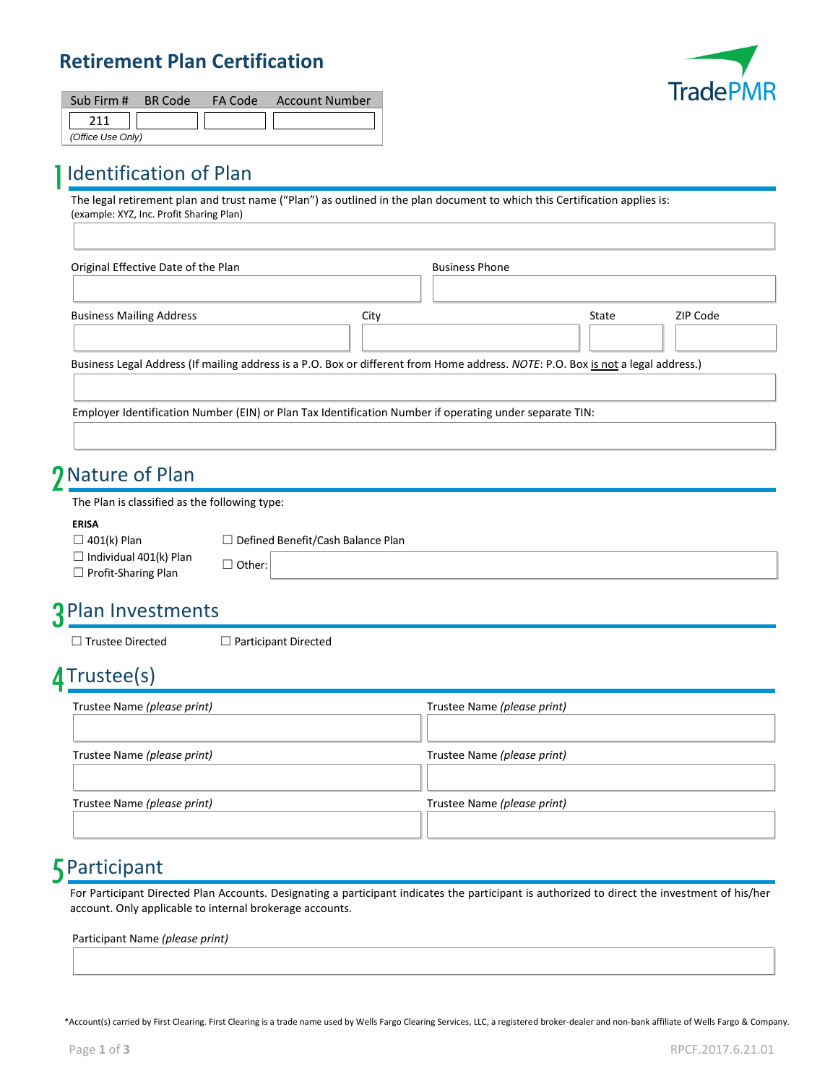### **Retirement Plan Certification**



| Sub Firm # BR Code |  | FA Code Account Number |
|--------------------|--|------------------------|
|                    |  |                        |
| (Office Use Only)  |  |                        |

### 1 Identification of Plan

The legal retirement plan and trust name ("Plan") as outlined in the plan document to which this Certification applies is: (example: XYZ, Inc. Profit Sharing Plan)

| Original Effective Date of the Plan |      | <b>Business Phone</b> |       |          |
|-------------------------------------|------|-----------------------|-------|----------|
| <b>Business Mailing Address</b>     | Citv |                       | State | ZIP Code |

Employer Identification Number (EIN) or Plan Tax Identification Number if operating under separate TIN:

# 2 Nature of Plan

The Plan is classified as the following type:

#### **ERISA**

 $\Box$  401(k) Plan  $\Box$  Defined Benefit/Cash Balance Plan

- $\Box$  Individual 401(k) Plan  $\Box$  Other:<br> $\Box$  Profit-Sharing Plan
- 

### 3 Plan Investments

☐ Trustee Directed ☐ Participant Directed

# 4 Trustee(s)

| Trustee Name (please print) | Trustee Name (please print) |
|-----------------------------|-----------------------------|
| Trustee Name (please print) | Trustee Name (please print) |
| Trustee Name (please print) | Trustee Name (please print) |

### 5 Participant

For Participant Directed Plan Accounts. Designating a participant indicates the participant is authorized to direct the investment of his/her account. Only applicable to internal brokerage accounts.

Participant Name *(please print)*

\*Account(s) carried by First Clearing. First Clearing is a trade name used by Wells Fargo Clearing Services, LLC, a registered broker-dealer and non-bank affiliate of Wells Fargo & Company.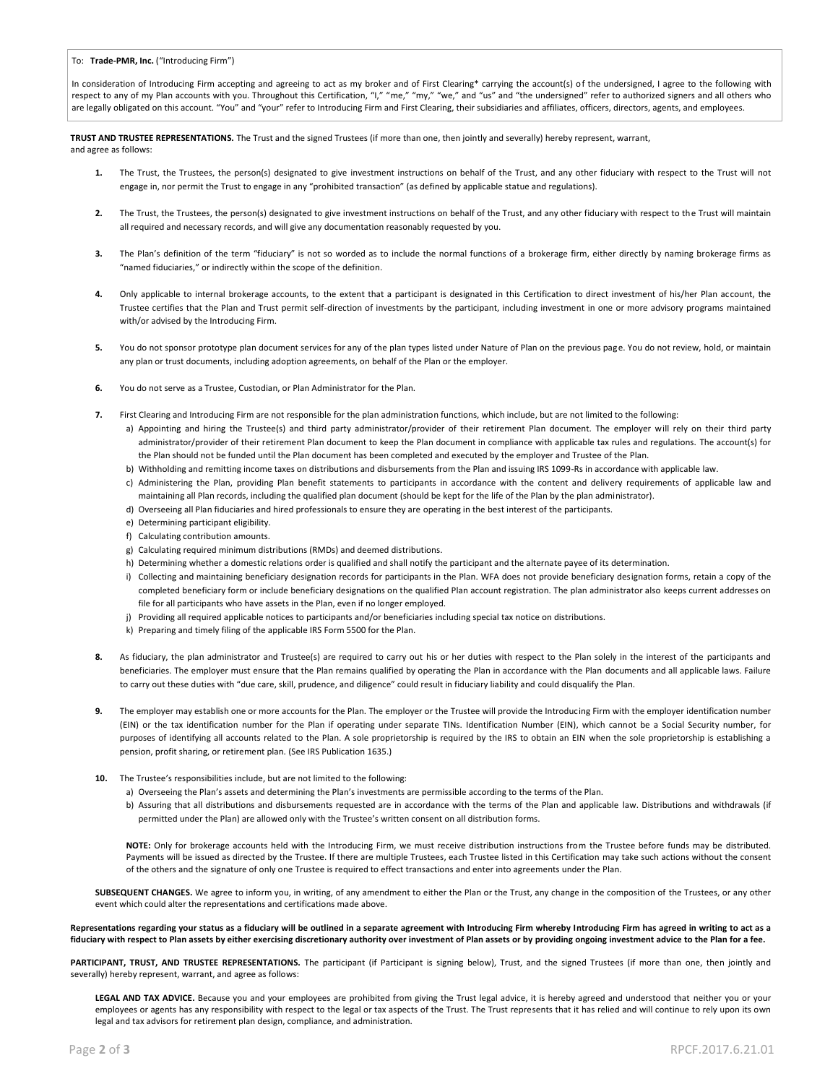In consideration of Introducing Firm accepting and agreeing to act as my broker and of First Clearing\* carrying the account(s) of the undersigned, I agree to the following with respect to any of my Plan accounts with you. Throughout this Certification, "I," "me," "my," "we," and "us" and "the undersigned" refer to authorized signers and all others who are legally obligated on this account. "You" and "your" refer to Introducing Firm and First Clearing, their subsidiaries and affiliates, officers, directors, agents, and employees.

**TRUST AND TRUSTEE REPRESENTATIONS.** The Trust and the signed Trustees (if more than one, then jointly and severally) hereby represent, warrant, and agree as follows:

- **1.** The Trust, the Trustees, the person(s) designated to give investment instructions on behalf of the Trust, and any other fiduciary with respect to the Trust will not engage in, nor permit the Trust to engage in any "prohibited transaction" (as defined by applicable statue and regulations).
- **2.** The Trust, the Trustees, the person(s) designated to give investment instructions on behalf of the Trust, and any other fiduciary with respect to the Trust will maintain all required and necessary records, and will give any documentation reasonably requested by you.
- **3.** The Plan's definition of the term "fiduciary" is not so worded as to include the normal functions of a brokerage firm, either directly by naming brokerage firms as "named fiduciaries," or indirectly within the scope of the definition.
- **4.** Only applicable to internal brokerage accounts, to the extent that a participant is designated in this Certification to direct investment of his/her Plan account, the Trustee certifies that the Plan and Trust permit self-direction of investments by the participant, including investment in one or more advisory programs maintained with/or advised by the Introducing Firm.
- 5. You do not sponsor prototype plan document services for any of the plan types listed under Nature of Plan on the previous page. You do not review, hold, or maintain any plan or trust documents, including adoption agreements, on behalf of the Plan or the employer.
- **6.** You do not serve as a Trustee, Custodian, or Plan Administrator for the Plan.
- **7.** First Clearing and Introducing Firm are not responsible for the plan administration functions, which include, but are not limited to the following:
	- a) Appointing and hiring the Trustee(s) and third party administrator/provider of their retirement Plan document. The employer will rely on their third party administrator/provider of their retirement Plan document to keep the Plan document in compliance with applicable tax rules and regulations. The account(s) for the Plan should not be funded until the Plan document has been completed and executed by the employer and Trustee of the Plan.
	- b) Withholding and remitting income taxes on distributions and disbursements from the Plan and issuing IRS 1099-Rs in accordance with applicable law.
	- c) Administering the Plan, providing Plan benefit statements to participants in accordance with the content and delivery requirements of applicable law and maintaining all Plan records, including the qualified plan document (should be kept for the life of the Plan by the plan administrator).
	- d) Overseeing all Plan fiduciaries and hired professionals to ensure they are operating in the best interest of the participants.
	- e) Determining participant eligibility.
	- f) Calculating contribution amounts.
	- g) Calculating required minimum distributions (RMDs) and deemed distributions.
	- h) Determining whether a domestic relations order is qualified and shall notify the participant and the alternate payee of its determination.
	- i) Collecting and maintaining beneficiary designation records for participants in the Plan. WFA does not provide beneficiary designation forms, retain a copy of the completed beneficiary form or include beneficiary designations on the qualified Plan account registration. The plan administrator also keeps current addresses on file for all participants who have assets in the Plan, even if no longer employed.
	- j) Providing all required applicable notices to participants and/or beneficiaries including special tax notice on distributions.
	- k) Preparing and timely filing of the applicable IRS Form 5500 for the Plan.
- 8. As fiduciary, the plan administrator and Trustee(s) are required to carry out his or her duties with respect to the Plan solely in the interest of the participants and beneficiaries. The employer must ensure that the Plan remains qualified by operating the Plan in accordance with the Plan documents and all applicable laws. Failure to carry out these duties with "due care, skill, prudence, and diligence" could result in fiduciary liability and could disqualify the Plan.
- **9.** The employer may establish one or more accounts for the Plan. The employer or the Trustee will provide the Introducing Firm with the employer identification number (EIN) or the tax identification number for the Plan if operating under separate TINs. Identification Number (EIN), which cannot be a Social Security number, for purposes of identifying all accounts related to the Plan. A sole proprietorship is required by the IRS to obtain an EIN when the sole proprietorship is establishing a pension, profit sharing, or retirement plan. (See IRS Publication 1635.)
- **10.** The Trustee's responsibilities include, but are not limited to the following:
	- a) Overseeing the Plan's assets and determining the Plan's investments are permissible according to the terms of the Plan.
	- b) Assuring that all distributions and disbursements requested are in accordance with the terms of the Plan and applicable law. Distributions and withdrawals (if permitted under the Plan) are allowed only with the Trustee's written consent on all distribution forms.

**NOTE:** Only for brokerage accounts held with the Introducing Firm, we must receive distribution instructions from the Trustee before funds may be distributed. Payments will be issued as directed by the Trustee. If there are multiple Trustees, each Trustee listed in this Certification may take such actions without the consent of the others and the signature of only one Trustee is required to effect transactions and enter into agreements under the Plan.

SUBSEQUENT CHANGES. We agree to inform you, in writing, of any amendment to either the Plan or the Trust, any change in the composition of the Trustees, or any other event which could alter the representations and certifications made above.

**Representations regarding your status as a fiduciary will be outlined in a separate agreement with Introducing Firm whereby Introducing Firm has agreed in writing to act as a fiduciary with respect to Plan assets by either exercising discretionary authority over investment of Plan assets or by providing ongoing investment advice to the Plan for a fee.**

PARTICIPANT, TRUST, AND TRUSTEE REPRESENTATIONS. The participant (if Participant is signing below), Trust, and the signed Trustees (if more than one, then jointly and severally) hereby represent, warrant, and agree as follows:

LEGAL AND TAX ADVICE. Because you and your employees are prohibited from giving the Trust legal advice, it is hereby agreed and understood that neither you or your employees or agents has any responsibility with respect to the legal or tax aspects of the Trust. The Trust represents that it has relied and will continue to rely upon its own legal and tax advisors for retirement plan design, compliance, and administration.